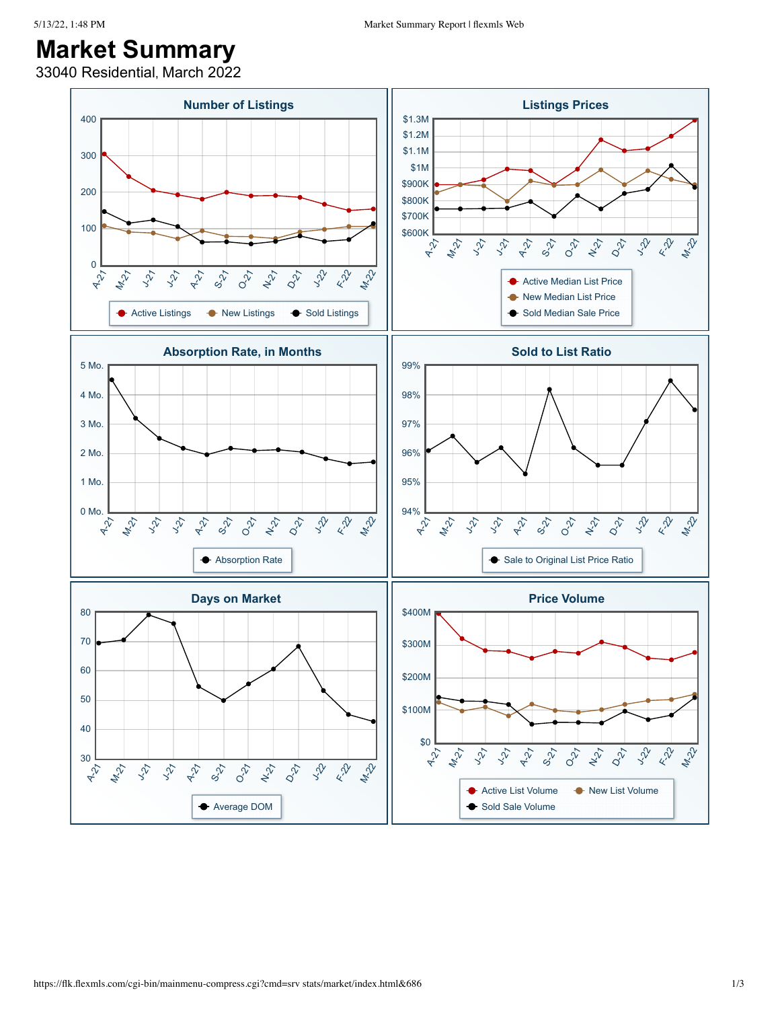## **Market Summary**

33040 Residential, March 2022

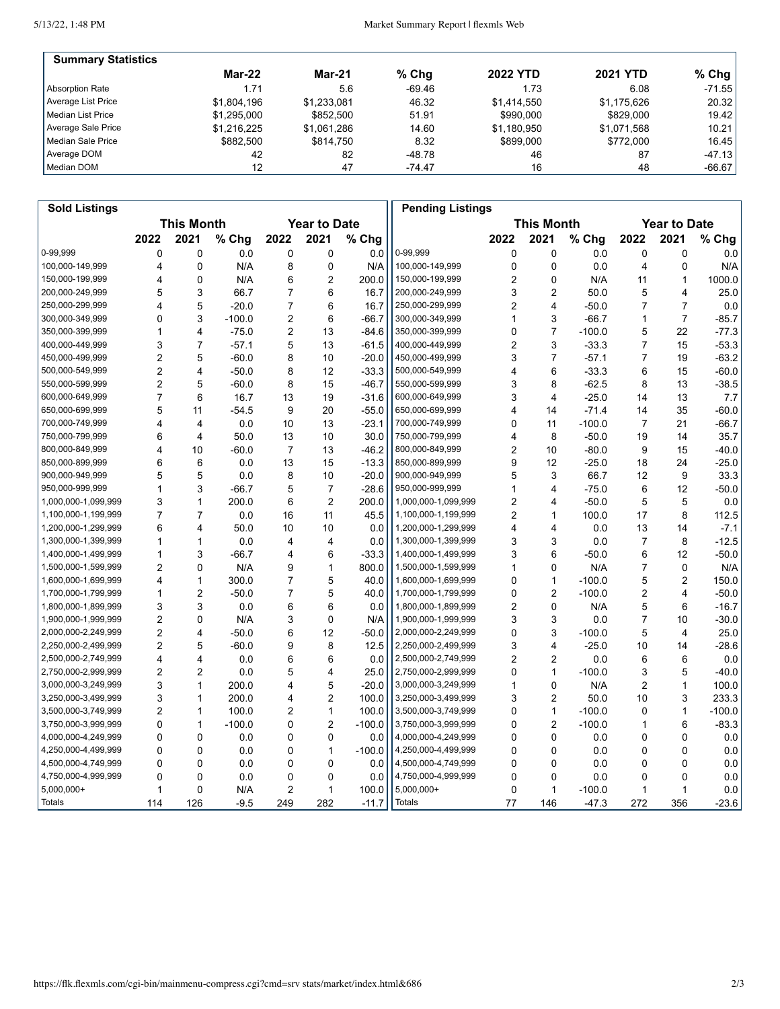5/13/22, 1:48 PM

| <b>Summary Statistics</b> |             |               |          |                 |                 |           |
|---------------------------|-------------|---------------|----------|-----------------|-----------------|-----------|
|                           | $Mar-22$    | <b>Mar-21</b> | $%$ Chq  | <b>2022 YTD</b> | <b>2021 YTD</b> | % Chg $ $ |
| Absorption Rate           | 1.71        | 5.6           | $-69.46$ | 1.73            | 6.08            | $-71.55$  |
| Average List Price        | \$1.804.196 | \$1.233.081   | 46.32    | \$1.414.550     | \$1.175.626     | 20.32     |
| Median List Price         | \$1.295.000 | \$852.500     | 51.91    | \$990,000       | \$829,000       | 19.42     |
| Average Sale Price        | \$1.216.225 | \$1.061.286   | 14.60    | \$1.180.950     | \$1.071.568     | 10.21     |
| Median Sale Price         | \$882.500   | \$814.750     | 8.32     | \$899,000       | \$772,000       | 16.45     |
| Average DOM               | 42          | 82            | $-48.78$ | 46              | 87              | $-47.13$  |
| Median DOM                | 12          | 47            | $-74.47$ | 16              | 48              | $-66.67$  |

| <b>Sold Listings</b> |                |                         |          |                |                     |          | <b>Pending Listings</b> |                |                   |          |                |                     |          |
|----------------------|----------------|-------------------------|----------|----------------|---------------------|----------|-------------------------|----------------|-------------------|----------|----------------|---------------------|----------|
|                      |                | <b>This Month</b>       |          |                | <b>Year to Date</b> |          |                         |                | <b>This Month</b> |          |                | <b>Year to Date</b> |          |
|                      | 2022           | 2021                    | % Chg    | 2022           | 2021                | % Chg    |                         | 2022           | 2021              | % Chg    | 2022           | 2021                | % Chg    |
| 0-99,999             | 0              | 0                       | 0.0      | 0              | 0                   | 0.0      | 0-99,999                | 0              | $\mathbf 0$       | 0.0      | 0              | $\mathbf 0$         | 0.0      |
| 100,000-149,999      | 4              | 0                       | N/A      | 8              | 0                   | N/A      | 100,000-149,999         | $\mathbf 0$    | $\mathbf 0$       | 0.0      | 4              | 0                   | N/A      |
| 150,000-199,999      | 4              | 0                       | N/A      | 6              | 2                   | 200.0    | 150,000-199,999         | $\overline{2}$ | 0                 | N/A      | 11             | 1                   | 1000.0   |
| 200,000-249,999      | 5              | 3                       | 66.7     | 7              | 6                   | 16.7     | 200,000-249,999         | 3              | $\overline{2}$    | 50.0     | 5              | 4                   | 25.0     |
| 250,000-299,999      | 4              | 5                       | $-20.0$  | $\overline{7}$ | 6                   | 16.7     | 250,000-299,999         | 2              | $\overline{4}$    | $-50.0$  | $\overline{7}$ | $\overline{7}$      | $0.0\,$  |
| 300,000-349,999      | $\mathbf 0$    | 3                       | $-100.0$ | 2              | 6                   | $-66.7$  | 300,000-349,999         | 1              | 3                 | $-66.7$  | 1              | $\overline{7}$      | $-85.7$  |
| 350,000-399,999      | 1              | 4                       | $-75.0$  | 2              | 13                  | $-84.6$  | 350,000-399,999         | 0              | $\overline{7}$    | $-100.0$ | 5              | 22                  | $-77.3$  |
| 400,000-449,999      | 3              | $\overline{7}$          | $-57.1$  | 5              | 13                  | $-61.5$  | 400,000-449,999         | 2              | 3                 | $-33.3$  | 7              | 15                  | $-53.3$  |
| 450,000-499,999      | $\overline{c}$ | 5                       | $-60.0$  | 8              | 10                  | $-20.0$  | 450,000-499,999         | 3              | $\overline{7}$    | $-57.1$  | 7              | 19                  | $-63.2$  |
| 500,000-549,999      | $\overline{2}$ | $\overline{\mathbf{4}}$ | $-50.0$  | 8              | 12                  | $-33.3$  | 500,000-549,999         | 4              | 6                 | $-33.3$  | 6              | 15                  | $-60.0$  |
| 550,000-599,999      | $\overline{c}$ | 5                       | $-60.0$  | 8              | 15                  | $-46.7$  | 550,000-599,999         | 3              | 8                 | $-62.5$  | 8              | 13                  | $-38.5$  |
| 600,000-649,999      | $\overline{7}$ | 6                       | 16.7     | 13             | 19                  | $-31.6$  | 600,000-649,999         | 3              | 4                 | $-25.0$  | 14             | 13                  | 7.7      |
| 650,000-699,999      | 5              | 11                      | $-54.5$  | 9              | 20                  | $-55.0$  | 650,000-699,999         | 4              | 14                | $-71.4$  | 14             | 35                  | $-60.0$  |
| 700,000-749,999      | 4              | $\overline{4}$          | 0.0      | 10             | 13                  | $-23.1$  | 700,000-749,999         | 0              | 11                | $-100.0$ | $\overline{7}$ | 21                  | $-66.7$  |
| 750,000-799,999      | 6              | $\overline{4}$          | 50.0     | 13             | 10                  | 30.0     | 750,000-799,999         | 4              | 8                 | $-50.0$  | 19             | 14                  | 35.7     |
| 800,000-849,999      | 4              | 10                      | $-60.0$  | $\overline{7}$ | 13                  | $-46.2$  | 800,000-849,999         | 2              | 10                | $-80.0$  | 9              | 15                  | $-40.0$  |
| 850,000-899,999      | 6              | 6                       | 0.0      | 13             | 15                  | $-13.3$  | 850,000-899,999         | 9              | 12                | $-25.0$  | 18             | 24                  | $-25.0$  |
| 900,000-949,999      | 5              | 5                       | 0.0      | 8              | 10                  | $-20.0$  | 900,000-949,999         | 5              | 3                 | 66.7     | 12             | 9                   | 33.3     |
| 950,000-999,999      | 1              | 3                       | $-66.7$  | 5              | 7                   | $-28.6$  | 950,000-999,999         | 1              | 4                 | $-75.0$  | 6              | 12                  | -50.0    |
| 1,000,000-1,099,999  | 3              | 1                       | 200.0    | 6              | $\overline{2}$      | 200.0    | 1,000,000-1,099,999     | 2              | 4                 | $-50.0$  | 5              | 5                   | 0.0      |
| 1,100,000-1,199,999  | $\overline{7}$ | $\overline{7}$          | 0.0      | 16             | 11                  | 45.5     | 1,100,000-1,199,999     | 2              | 1                 | 100.0    | 17             | 8                   | 112.5    |
| 1,200,000-1,299,999  | 6              | 4                       | 50.0     | 10             | 10                  | 0.0      | 1,200,000-1,299,999     | 4              | 4                 | 0.0      | 13             | 14                  | $-7.1$   |
| 1,300,000-1,399,999  | 1              | $\mathbf{1}$            | 0.0      | 4              | 4                   | 0.0      | 1,300,000-1,399,999     | 3              | 3                 | 0.0      | $\overline{7}$ | 8                   | $-12.5$  |
| 1,400,000-1,499,999  | 1              | 3                       | $-66.7$  | 4              | 6                   | $-33.3$  | 1,400,000-1,499,999     | 3              | 6                 | $-50.0$  | 6              | 12                  | $-50.0$  |
| 1,500,000-1,599,999  | $\overline{2}$ | 0                       | N/A      | 9              | $\mathbf{1}$        | 800.0    | 1,500,000-1,599,999     | $\mathbf{1}$   | $\mathbf 0$       | N/A      | $\overline{7}$ | $\mathbf 0$         | N/A      |
| 1,600,000-1,699,999  | 4              | 1                       | 300.0    | 7              | 5                   | 40.0     | 1,600,000-1,699,999     | 0              | $\mathbf{1}$      | $-100.0$ | 5              | $\overline{c}$      | 150.0    |
| 1,700,000-1,799,999  | 1              | 2                       | $-50.0$  | 7              | 5                   | 40.0     | 1,700,000-1,799,999     | 0              | $\overline{2}$    | $-100.0$ | 2              | 4                   | $-50.0$  |
| 1,800,000-1,899,999  | 3              | 3                       | 0.0      | 6              | 6                   | 0.0      | 1,800,000-1,899,999     | 2              | 0                 | N/A      | 5              | 6                   | $-16.7$  |
| 1,900,000-1,999,999  | $\overline{2}$ | $\Omega$                | N/A      | 3              | 0                   | N/A      | 1,900,000-1,999,999     | 3              | 3                 | 0.0      | $\overline{7}$ | 10                  | $-30.0$  |
| 2,000,000-2,249,999  | 2              | $\overline{\mathbf{4}}$ | $-50.0$  | 6              | 12                  | $-50.0$  | 2,000,000-2,249,999     | 0              | 3                 | $-100.0$ | 5              | 4                   | 25.0     |
| 2,250,000-2,499,999  | $\overline{2}$ | 5                       | $-60.0$  | 9              | 8                   | 12.5     | 2,250,000-2,499,999     | 3              | 4                 | $-25.0$  | 10             | 14                  | $-28.6$  |
| 2,500,000-2,749,999  | 4              | 4                       | 0.0      | 6              | 6                   | 0.0      | 2,500,000-2,749,999     | 2              | $\overline{c}$    | 0.0      | 6              | 6                   | 0.0      |
| 2,750,000-2,999,999  | $\overline{c}$ | $\overline{2}$          | 0.0      | 5              | 4                   | 25.0     | 2,750,000-2,999,999     | 0              | $\mathbf{1}$      | $-100.0$ | 3              | 5                   | $-40.0$  |
| 3,000,000-3,249,999  | 3              | 1                       | 200.0    | 4              | 5                   | $-20.0$  | 3,000,000-3,249,999     | $\mathbf{1}$   | $\mathbf 0$       | N/A      | 2              | $\mathbf{1}$        | 100.0    |
| 3,250,000-3,499,999  | 3              | 1                       | 200.0    | 4              | $\overline{2}$      | 100.0    | 3,250,000-3,499,999     | 3              | $\overline{2}$    | 50.0     | 10             | 3                   | 233.3    |
| 3,500,000-3,749,999  | $\overline{2}$ | 1                       | 100.0    | 2              | $\mathbf{1}$        | 100.0    | 3,500,000-3,749,999     | 0              | $\mathbf{1}$      | $-100.0$ | 0              | 1                   | $-100.0$ |
| 3,750,000-3,999,999  | 0              | 1                       | $-100.0$ | 0              | $\overline{c}$      | $-100.0$ | 3,750,000-3,999,999     | 0              | $\overline{c}$    | $-100.0$ | 1              | 6                   | $-83.3$  |
| 4,000,000-4,249,999  | 0              | 0                       | 0.0      | 0              | 0                   | 0.0      | 4,000,000-4,249,999     | 0              | 0                 | 0.0      | 0              | 0                   | 0.0      |
| 4,250,000-4,499,999  | 0              | 0                       | 0.0      | 0              | $\mathbf{1}$        | $-100.0$ | 4,250,000-4,499,999     | 0              | $\mathbf 0$       | 0.0      | 0              | 0                   | 0.0      |
| 4,500,000-4,749,999  | 0              | 0                       | 0.0      | 0              | $\mathbf 0$         | 0.0      | 4,500,000-4,749,999     | 0              | $\mathbf 0$       | 0.0      | 0              | 0                   | 0.0      |
| 4,750,000-4,999,999  | 0              | 0                       | 0.0      | 0              | 0                   | 0.0      | 4,750,000-4,999,999     | 0              | 0                 | 0.0      | 0              | 0                   | 0.0      |
| 5,000,000+           | 1              | 0                       | N/A      | 2              | 1                   | 100.0    | 5,000,000+              | 0              | $\mathbf{1}$      | $-100.0$ | 1              | 1                   | 0.0      |
| Totals               | 114            | 126                     | $-9.5$   | 249            | 282                 | $-11.7$  | <b>Totals</b>           | 77             | 146               | $-47.3$  | 272            | 356                 | $-23.6$  |